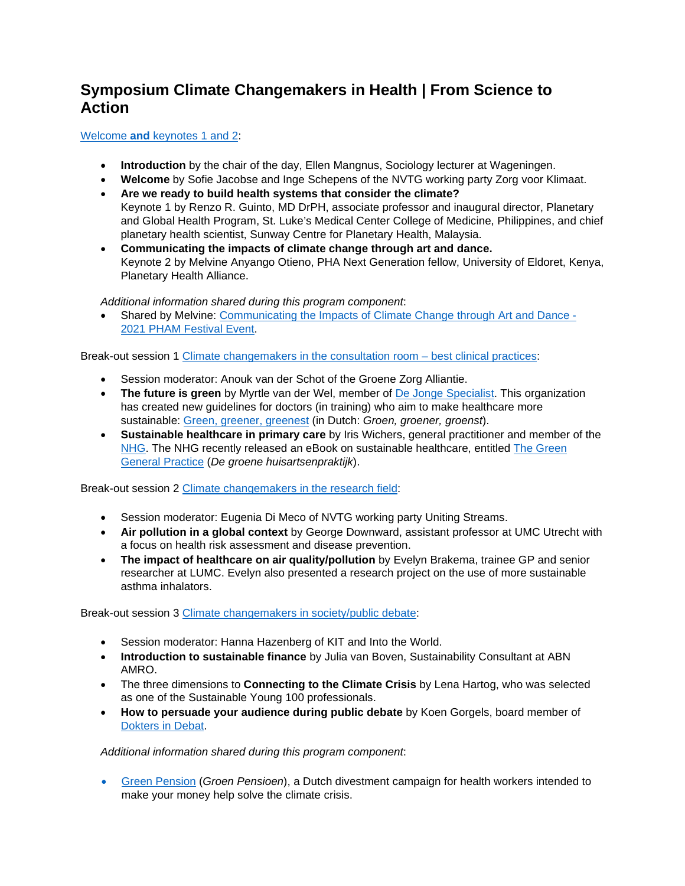## **Symposium Climate Changemakers in Health | From Science to Action**

Welcome **and** [keynotes 1 and 2:](https://vimeo.com/656632123)

- **Introduction** by the chair of the day, Ellen Mangnus, Sociology lecturer at Wageningen.
- **Welcome** by Sofie Jacobse and Inge Schepens of the NVTG working party Zorg voor Klimaat.
- **Are we ready to build health systems that consider the climate?**  Keynote 1 by Renzo R. Guinto, MD DrPH, associate professor and inaugural director, Planetary and Global Health Program, St. Luke's Medical Center College of Medicine, Philippines, and chief planetary health scientist, Sunway Centre for Planetary Health, Malaysia.
- **Communicating the impacts of climate change through art and dance.**  Keynote 2 by Melvine Anyango Otieno, PHA Next Generation fellow, University of Eldoret, Kenya, Planetary Health Alliance.

*Additional information shared during this program component*:

Shared by Melvine: Communicating the Impacts of Climate Change through Art and Dance -[2021 PHAM Festival Event.](https://www.youtube.com/watch?v=7lofhZsaQFw)

Break-out session 1 [Climate changemakers in the consultation room – best clinical practices:](https://vimeo.com/656581598)

- Session moderator: Anouk van der Schot of the Groene Zorg Alliantie.
- **The future is green** by Myrtle van der Wel, member of [De Jonge Specialist.](https://dejongespecialist.nl/) This organization has created new guidelines for doctors (in training) who aim to make healthcare more sustainable: [Green, greener, greenest](https://dejongespecialist.nl/2021/handreiking-groene-geneeskunde-voor-aios-en-anios/) (in Dutch: *Groen, groener, groenst*).
- **Sustainable healthcare in primary care** by Iris Wichers, general practitioner and member of the [NHG.](https://www.nhg.org/) The NHG recently released an eBook on sustainable healthcare, entitled [The Green](https://www.nhg.org/duurzaamheid)  [General Practice](https://www.nhg.org/duurzaamheid) (*De groene huisartsenpraktijk*).

Break-out session 2 [Climate changemakers in the research field:](https://vimeo.com/656586931)

- Session moderator: Eugenia Di Meco of NVTG working party Uniting Streams.
- **Air pollution in a global context** by George Downward, assistant professor at UMC Utrecht with a focus on health risk assessment and disease prevention.
- **The impact of healthcare on air quality/pollution** by Evelyn Brakema, trainee GP and senior researcher at LUMC. Evelyn also presented a research project on the use of more sustainable asthma inhalators.

Break-out session 3 [Climate changemakers in society/public debate:](https://vimeo.com/656598798)

- Session moderator: Hanna Hazenberg of KIT and Into the World.
- **Introduction to sustainable finance** by Julia van Boven, Sustainability Consultant at ABN AMRO.
- The three dimensions to **Connecting to the Climate Crisis** by Lena Hartog, who was selected as one of the Sustainable Young 100 professionals.
- **How to persuade your audience during public debate** by Koen Gorgels, board member of [Dokters in Debat.](https://doktersindebat.com/)

*Additional information shared during this program component*:

 [Green Pension \(](https://doktersindebat.com/)*Groen Pensioen*), a Dutch divestment campaign for health workers intended to make your money help solve the climate crisis.